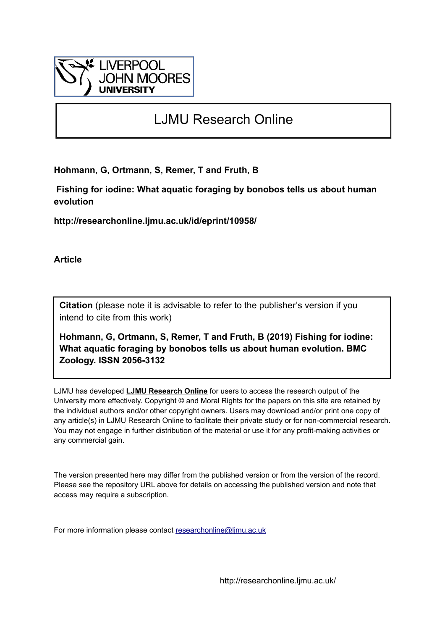

# LJMU Research Online

**Hohmann, G, Ortmann, S, Remer, T and Fruth, B**

 **Fishing for iodine: What aquatic foraging by bonobos tells us about human evolution**

**http://researchonline.ljmu.ac.uk/id/eprint/10958/**

**Article**

**Citation** (please note it is advisable to refer to the publisher's version if you intend to cite from this work)

**Hohmann, G, Ortmann, S, Remer, T and Fruth, B (2019) Fishing for iodine: What aquatic foraging by bonobos tells us about human evolution. BMC Zoology. ISSN 2056-3132** 

LJMU has developed **[LJMU Research Online](http://researchonline.ljmu.ac.uk/)** for users to access the research output of the University more effectively. Copyright © and Moral Rights for the papers on this site are retained by the individual authors and/or other copyright owners. Users may download and/or print one copy of any article(s) in LJMU Research Online to facilitate their private study or for non-commercial research. You may not engage in further distribution of the material or use it for any profit-making activities or any commercial gain.

The version presented here may differ from the published version or from the version of the record. Please see the repository URL above for details on accessing the published version and note that access may require a subscription.

For more information please contact [researchonline@ljmu.ac.uk](mailto:researchonline@ljmu.ac.uk)

http://researchonline.ljmu.ac.uk/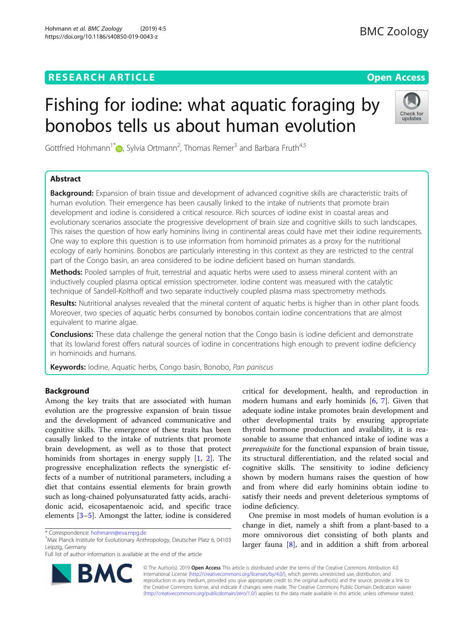# **RESEARCH ARTICLE Example 2014 12:30 The Contract of Contract ACCESS**

# Fishing for iodine: what aquatic foraging by bonobos tells us about human evolution



Gottfried Hohmann<sup>1[\\*](http://orcid.org/0000-0002-4923-6095)</sup> $\textsf{D}$ , Sylvia Ortmann<sup>2</sup>, Thomas Remer<sup>3</sup> and Barbara Fruth<sup>4,5</sup>

# Abstract

Background: Expansion of brain tissue and development of advanced cognitive skills are characteristic traits of human evolution. Their emergence has been causally linked to the intake of nutrients that promote brain development and iodine is considered a critical resource. Rich sources of iodine exist in coastal areas and evolutionary scenarios associate the progressive development of brain size and cognitive skills to such landscapes. This raises the question of how early hominins living in continental areas could have met their iodine requirements. One way to explore this question is to use information from hominoid primates as a proxy for the nutritional ecology of early hominins. Bonobos are particularly interesting in this context as they are restricted to the central part of the Congo basin, an area considered to be iodine deficient based on human standards.

Methods: Pooled samples of fruit, terrestrial and aquatic herbs were used to assess mineral content with an inductively coupled plasma optical emission spectrometer. Iodine content was measured with the catalytic technique of Sandell-Kolthoff and two separate inductively coupled plasma mass spectrometry methods.

Results: Nutritional analyses revealed that the mineral content of aquatic herbs is higher than in other plant foods. Moreover, two species of aquatic herbs consumed by bonobos contain iodine concentrations that are almost equivalent to marine algae.

Conclusions: These data challenge the general notion that the Congo basin is iodine deficient and demonstrate that its lowland forest offers natural sources of iodine in concentrations high enough to prevent iodine deficiency in hominoids and humans.

Keywords: Iodine, Aquatic herbs, Congo basin, Bonobo, Pan paniscus

# Background

Among the key traits that are associated with human evolution are the progressive expansion of brain tissue and the development of advanced communicative and cognitive skills. The emergence of these traits has been causally linked to the intake of nutrients that promote brain development, as well as to those that protect hominids from shortages in energy supply [\[1](#page-5-0), [2](#page-5-0)]. The progressive encephalization reflects the synergistic effects of a number of nutritional parameters, including a diet that contains essential elements for brain growth such as long-chained polyunsaturated fatty acids, arachidonic acid, eicosapentaenoic acid, and specific trace elements [[3](#page-5-0)–[5](#page-5-0)]. Amongst the latter, iodine is considered



One premise in most models of human evolution is a change in diet, namely a shift from a plant-based to a more omnivorous diet consisting of both plants and larger fauna [\[8](#page-6-0)], and in addition a shift from arboreal



© The Author(s). 2019 **Open Access** This article is distributed under the terms of the Creative Commons Attribution 4.0 International License [\(http://creativecommons.org/licenses/by/4.0/](http://creativecommons.org/licenses/by/4.0/)), which permits unrestricted use, distribution, and reproduction in any medium, provided you give appropriate credit to the original author(s) and the source, provide a link to the Creative Commons license, and indicate if changes were made. The Creative Commons Public Domain Dedication waiver [\(http://creativecommons.org/publicdomain/zero/1.0/](http://creativecommons.org/publicdomain/zero/1.0/)) applies to the data made available in this article, unless otherwise stated.

<sup>\*</sup> Correspondence: [hohmann@eva.mpg.de](mailto:hohmann@eva.mpg.de) <sup>1</sup>

<sup>&</sup>lt;sup>1</sup>Max Planck Institute for Evolutionary Anthropology, Deutscher Platz 6, 04103 Leipzig, Germany

Full list of author information is available at the end of the article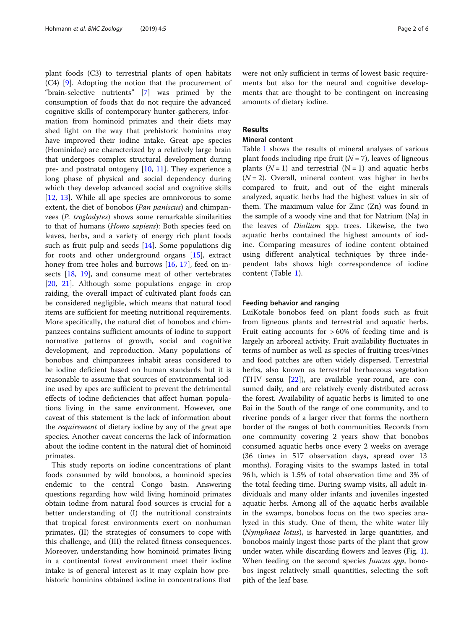plant foods (C3) to terrestrial plants of open habitats (C4) [\[9](#page-6-0)]. Adopting the notion that the procurement of "brain-selective nutrients" [[7](#page-6-0)] was primed by the consumption of foods that do not require the advanced cognitive skills of contemporary hunter-gatherers, information from hominoid primates and their diets may shed light on the way that prehistoric hominins may have improved their iodine intake. Great ape species (Hominidae) are characterized by a relatively large brain that undergoes complex structural development during pre- and postnatal ontogeny [[10,](#page-6-0) [11](#page-6-0)]. They experience a long phase of physical and social dependency during which they develop advanced social and cognitive skills [[12,](#page-6-0) [13\]](#page-6-0). While all ape species are omnivorous to some extent, the diet of bonobos (Pan paniscus) and chimpanzees (P. troglodytes) shows some remarkable similarities to that of humans (Homo sapiens): Both species feed on leaves, herbs, and a variety of energy rich plant foods such as fruit pulp and seeds [\[14](#page-6-0)]. Some populations dig for roots and other underground organs [[15\]](#page-6-0), extract honey from tree holes and burrows [[16](#page-6-0), [17\]](#page-6-0), feed on in-sects [\[18](#page-6-0), [19\]](#page-6-0), and consume meat of other vertebrates [[20,](#page-6-0) [21\]](#page-6-0). Although some populations engage in crop raiding, the overall impact of cultivated plant foods can be considered negligible, which means that natural food items are sufficient for meeting nutritional requirements. More specifically, the natural diet of bonobos and chimpanzees contains sufficient amounts of iodine to support normative patterns of growth, social and cognitive development, and reproduction. Many populations of bonobos and chimpanzees inhabit areas considered to be iodine deficient based on human standards but it is reasonable to assume that sources of environmental iodine used by apes are sufficient to prevent the detrimental effects of iodine deficiencies that affect human populations living in the same environment. However, one caveat of this statement is the lack of information about the requirement of dietary iodine by any of the great ape species. Another caveat concerns the lack of information about the iodine content in the natural diet of hominoid primates.

This study reports on iodine concentrations of plant foods consumed by wild bonobos, a hominoid species endemic to the central Congo basin. Answering questions regarding how wild living hominoid primates obtain iodine from natural food sources is crucial for a better understanding of (I) the nutritional constraints that tropical forest environments exert on nonhuman primates, (II) the strategies of consumers to cope with this challenge, and (III) the related fitness consequences. Moreover, understanding how hominoid primates living in a continental forest environment meet their iodine intake is of general interest as it may explain how prehistoric hominins obtained iodine in concentrations that were not only sufficient in terms of lowest basic requirements but also for the neural and cognitive developments that are thought to be contingent on increasing amounts of dietary iodine.

# Results

# Mineral content

Table [1](#page-3-0) shows the results of mineral analyses of various plant foods including ripe fruit  $(N = 7)$ , leaves of ligneous plants  $(N = 1)$  and terrestrial  $(N = 1)$  and aquatic herbs  $(N = 2)$ . Overall, mineral content was higher in herbs compared to fruit, and out of the eight minerals analyzed, aquatic herbs had the highest values in six of them. The maximum value for Zinc (Zn) was found in the sample of a woody vine and that for Natrium (Na) in the leaves of Dialium spp. trees. Likewise, the two aquatic herbs contained the highest amounts of iodine. Comparing measures of iodine content obtained using different analytical techniques by three independent labs shows high correspondence of iodine content (Table [1](#page-3-0)).

# Feeding behavior and ranging

LuiKotale bonobos feed on plant foods such as fruit from ligneous plants and terrestrial and aquatic herbs. Fruit eating accounts for  $>60\%$  of feeding time and is largely an arboreal activity. Fruit availability fluctuates in terms of number as well as species of fruiting trees/vines and food patches are often widely dispersed. Terrestrial herbs, also known as terrestrial herbaceous vegetation (THV sensu [[22\]](#page-6-0)), are available year-round, are consumed daily, and are relatively evenly distributed across the forest. Availability of aquatic herbs is limited to one Bai in the South of the range of one community, and to riverine ponds of a larger river that forms the northern border of the ranges of both communities. Records from one community covering 2 years show that bonobos consumed aquatic herbs once every 2 weeks on average (36 times in 517 observation days, spread over 13 months). Foraging visits to the swamps lasted in total 96 h, which is 1.5% of total observation time and 3% of the total feeding time. During swamp visits, all adult individuals and many older infants and juveniles ingested aquatic herbs. Among all of the aquatic herbs available in the swamps, bonobos focus on the two species analyzed in this study. One of them, the white water lily (Nymphaea lotus), is harvested in large quantities, and bonobos mainly ingest those parts of the plant that grow under water, while discarding flowers and leaves (Fig. [1](#page-3-0)). When feeding on the second species Juncus spp, bonobos ingest relatively small quantities, selecting the soft pith of the leaf base.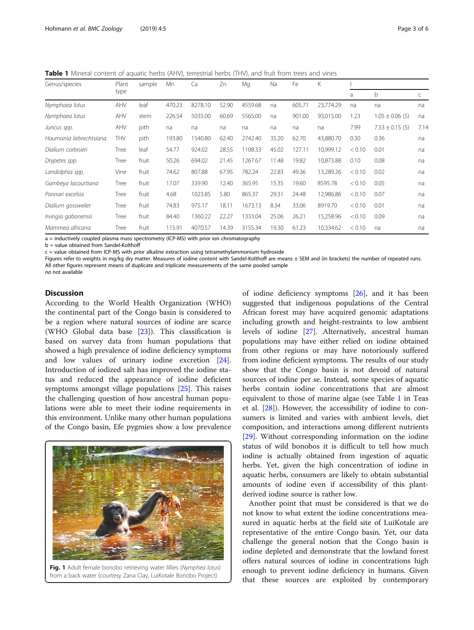<span id="page-3-0"></span>Table 1 Mineral content of aquatic herbs (AHV), terrestrial herbs (THV), and fruit from trees and vines

| Genus/species           | Plant<br>type | sample | Mn     | Ca      | Zn    | Mg      | Na    | Fe     | K         |        |                     |      |
|-------------------------|---------------|--------|--------|---------|-------|---------|-------|--------|-----------|--------|---------------------|------|
|                         |               |        |        |         |       |         |       |        |           | a      | b                   | C    |
| Nymphaea lotus          | AHV           | leaf   | 470.23 | 8278.10 | 52.90 | 4559.68 | na    | 605.71 | 23.774.29 | na     | na                  | na   |
| Nymphaea lotus          | AHV           | stem   | 226.54 | 5035.00 | 60.69 | 5565.00 | na    | 901.00 | 93,015.00 | 1.23   | $1.05 \pm 0.06$ (5) | na   |
| Juncus spp.             | AHV           | pith   | na     | na      | na    | na      | na    | na     | na        | 7.99   | $7.53 \pm 0.15$ (5) | 7.14 |
| Haumania liebrechtsiana | THV           | pith   | 193.80 | 1540.80 | 62.40 | 2742.40 | 35.20 | 62.70  | 43,880.70 | 0.30   | 0.36                | na   |
| Dialium corbisieri      | Tree          | leaf   | 54.77  | 924.02  | 28.55 | 1108.33 | 45.02 | 127.11 | 10,999.12 | < 0.10 | 0.01                | na   |
| Drypetes spp.           | Tree          | fruit  | 50.26  | 694.02  | 21.45 | 1267.67 | 11.48 | 19.82  | 10,873.88 | 0.10   | 0.08                | na   |
| Landolphia spp.         | Vine          | fruit  | 74.62  | 807.88  | 67.95 | 782.24  | 22.83 | 49.36  | 13,289.26 | < 0.10 | 0.02                | na   |
| Gambeya lacourtiana     | Tree          | fruit  | 17.07  | 339.90  | 12.40 | 365.95  | 15.35 | 19.60  | 8595.78   | < 0.10 | 0.05                | na   |
| Parinari excelsia       | Tree          | fruit  | 4.68   | 1023.85 | 5.80  | 865.37  | 29.31 | 24.48  | 12,986.86 | < 0.10 | 0.07                | na   |
| Dialium gossweiler      | Tree          | fruit  | 74.83  | 975.17  | 18.11 | 1673.13 | 8.34  | 33.06  | 8919.70   | < 0.10 | 0.01                | na   |
| Irvingia gabonensis     | Tree          | fruit  | 84.40  | 1360.22 | 22.27 | 1333.04 | 25.06 | 26.21  | 15,258.96 | < 0.10 | 0.09                | na   |
| Mammea africana         | Tree          | fruit  | 115.91 | 4070.57 | 14.39 | 3155.34 | 19.30 | 61.23  | 10,334.62 | < 0.10 | na                  | na   |

a = inductively coupled plasma mass spectrometry (ICP-MS) with prior ion chromatography

b = value obtained from Sandel-Kolthoff

c = value obtained from ICP-MS with prior alkaline extraction using tetramethylammonium hydroxide

Figures refer to weights in mg/kg dry matter. Measures of iodine content with Sandel-Kolthoff are means ± SEM and (in brackets) the number of repeated runs.

All other figures represent means of duplicate and triplicate measurements of the same pooled sample

na not available

# Discussion

According to the World Health Organization (WHO) the continental part of the Congo basin is considered to be a region where natural sources of iodine are scarce (WHO Global data base [\[23](#page-6-0)]). This classification is based on survey data from human populations that showed a high prevalence of iodine deficiency symptoms and low values of urinary iodine excretion [\[24](#page-6-0)]. Introduction of iodized salt has improved the iodine status and reduced the appearance of iodine deficient symptoms amongst village populations [\[25](#page-6-0)]. This raises the challenging question of how ancestral human populations were able to meet their iodine requirements in this environment. Unlike many other human populations of the Congo basin, Efe pygmies show a low prevalence



Fig. 1 Adult female bonobo retrieving water lillies (Nymphea lotus) from a back water (courtesy Zana Clay, LuiKotale Bonobo Project)

of iodine deficiency symptoms  $[26]$  $[26]$  $[26]$ , and it has been suggested that indigenous populations of the Central African forest may have acquired genomic adaptations including growth and height-restraints to low ambient levels of iodine [[27\]](#page-6-0). Alternatively, ancestral human populations may have either relied on iodine obtained from other regions or may have notoriously suffered from iodine deficient symptoms. The results of our study show that the Congo basin is not devoid of natural sources of iodine per se. Instead, some species of aquatic herbs contain iodine concentrations that are almost equivalent to those of marine algae (see Table 1 in Teas et al. [[28\]](#page-6-0)). However, the accessibility of iodine to consumers is limited and varies with ambient levels, diet composition, and interactions among different nutrients [[29\]](#page-6-0). Without corresponding information on the iodine status of wild bonobos it is difficult to tell how much iodine is actually obtained from ingestion of aquatic herbs. Yet, given the high concentration of iodine in aquatic herbs, consumers are likely to obtain substantial amounts of iodine even if accessibility of this plantderived iodine source is rather low.

Another point that must be considered is that we do not know to what extent the iodine concentrations measured in aquatic herbs at the field site of LuiKotale are representative of the entire Congo basin. Yet, our data challenge the general notion that the Congo basin is iodine depleted and demonstrate that the lowland forest offers natural sources of iodine in concentrations high enough to prevent iodine deficiency in humans. Given that these sources are exploited by contemporary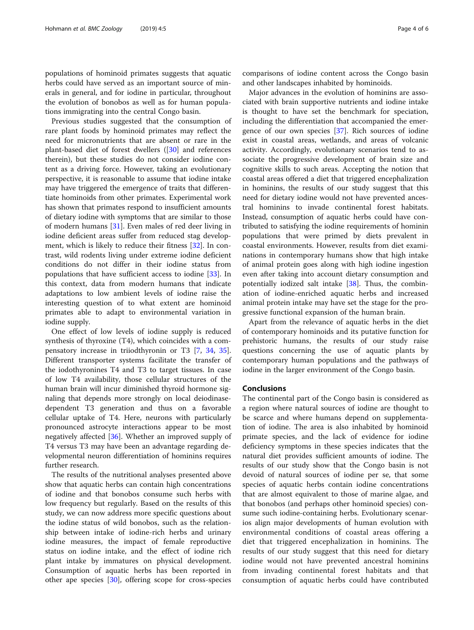populations of hominoid primates suggests that aquatic herbs could have served as an important source of minerals in general, and for iodine in particular, throughout the evolution of bonobos as well as for human populations immigrating into the central Congo basin.

Previous studies suggested that the consumption of rare plant foods by hominoid primates may reflect the need for micronutrients that are absent or rare in the plant-based diet of forest dwellers ([\[30](#page-6-0)] and references therein), but these studies do not consider iodine content as a driving force. However, taking an evolutionary perspective, it is reasonable to assume that iodine intake may have triggered the emergence of traits that differentiate hominoids from other primates. Experimental work has shown that primates respond to insufficient amounts of dietary iodine with symptoms that are similar to those of modern humans [[31](#page-6-0)]. Even males of red deer living in iodine deficient areas suffer from reduced stag development, which is likely to reduce their fitness [[32\]](#page-6-0). In contrast, wild rodents living under extreme iodine deficient conditions do not differ in their iodine status from populations that have sufficient access to iodine [\[33\]](#page-6-0). In this context, data from modern humans that indicate adaptations to low ambient levels of iodine raise the interesting question of to what extent are hominoid primates able to adapt to environmental variation in iodine supply.

One effect of low levels of iodine supply is reduced synthesis of thyroxine (T4), which coincides with a compensatory increase in triiodthyronin or T3 [[7,](#page-6-0) [34](#page-6-0), [35](#page-6-0)]. Different transporter systems facilitate the transfer of the iodothyronines T4 and T3 to target tissues. In case of low T4 availability, those cellular structures of the human brain will incur diminished thyroid hormone signaling that depends more strongly on local deiodinasedependent T3 generation and thus on a favorable cellular uptake of T4. Here, neurons with particularly pronounced astrocyte interactions appear to be most negatively affected [[36\]](#page-6-0). Whether an improved supply of T4 versus T3 may have been an advantage regarding developmental neuron differentiation of hominins requires further research.

The results of the nutritional analyses presented above show that aquatic herbs can contain high concentrations of iodine and that bonobos consume such herbs with low frequency but regularly. Based on the results of this study, we can now address more specific questions about the iodine status of wild bonobos, such as the relationship between intake of iodine-rich herbs and urinary iodine measures, the impact of female reproductive status on iodine intake, and the effect of iodine rich plant intake by immatures on physical development. Consumption of aquatic herbs has been reported in other ape species [[30\]](#page-6-0), offering scope for cross-species

comparisons of iodine content across the Congo basin and other landscapes inhabited by hominoids.

Major advances in the evolution of hominins are associated with brain supportive nutrients and iodine intake is thought to have set the benchmark for speciation, including the differentiation that accompanied the emergence of our own species [[37\]](#page-6-0). Rich sources of iodine exist in coastal areas, wetlands, and areas of volcanic activity. Accordingly, evolutionary scenarios tend to associate the progressive development of brain size and cognitive skills to such areas. Accepting the notion that coastal areas offered a diet that triggered encephalization in hominins, the results of our study suggest that this need for dietary iodine would not have prevented ancestral hominins to invade continental forest habitats. Instead, consumption of aquatic herbs could have contributed to satisfying the iodine requirements of hominin populations that were primed by diets prevalent in coastal environments. However, results from diet examinations in contemporary humans show that high intake of animal protein goes along with high iodine ingestion even after taking into account dietary consumption and potentially iodized salt intake [\[38](#page-6-0)]. Thus, the combination of iodine-enriched aquatic herbs and increased animal protein intake may have set the stage for the progressive functional expansion of the human brain.

Apart from the relevance of aquatic herbs in the diet of contemporary hominoids and its putative function for prehistoric humans, the results of our study raise questions concerning the use of aquatic plants by contemporary human populations and the pathways of iodine in the larger environment of the Congo basin.

# Conclusions

The continental part of the Congo basin is considered as a region where natural sources of iodine are thought to be scarce and where humans depend on supplementation of iodine. The area is also inhabited by hominoid primate species, and the lack of evidence for iodine deficiency symptoms in these species indicates that the natural diet provides sufficient amounts of iodine. The results of our study show that the Congo basin is not devoid of natural sources of iodine per se, that some species of aquatic herbs contain iodine concentrations that are almost equivalent to those of marine algae, and that bonobos (and perhaps other hominoid species) consume such iodine-containing herbs. Evolutionary scenarios align major developments of human evolution with environmental conditions of coastal areas offering a diet that triggered encephalization in hominins. The results of our study suggest that this need for dietary iodine would not have prevented ancestral hominins from invading continental forest habitats and that consumption of aquatic herbs could have contributed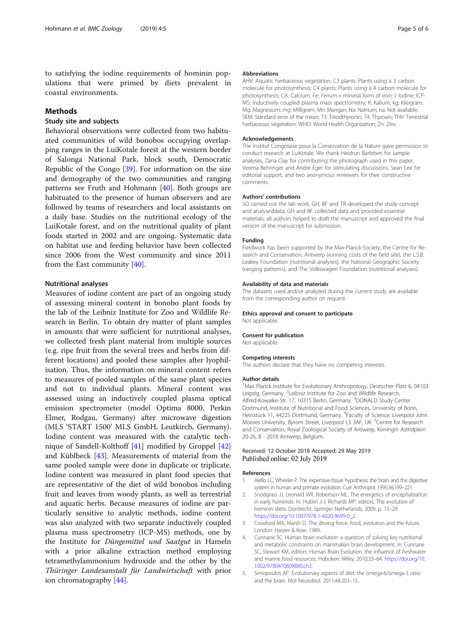<span id="page-5-0"></span>to satisfying the iodine requirements of hominin populations that were primed by diets prevalent in coastal environments.

# **Methods**

# Study site and subjects

Behavioral observations were collected from two habituated communities of wild bonobos occupying overlapping ranges in the LuiKotale forest at the western border of Salonga National Park, block south, Democratic Republic of the Congo [\[39](#page-6-0)]. For information on the size and demography of the two communities and ranging patterns see Fruth and Hohmann [\[40\]](#page-6-0). Both groups are habituated to the presence of human observers and are followed by teams of researchers and local assistants on a daily base. Studies on the nutritional ecology of the LuiKotale forest, and on the nutritional quality of plant foods started in 2002 and are ongoing. Systematic data on habitat use and feeding behavior have been collected since 2006 from the West community and since 2011 from the East community [\[40\]](#page-6-0).

### Nutritional analyses

Measures of iodine content are part of an ongoing study of assessing mineral content in bonobo plant foods by the lab of the Leibniz Institute for Zoo and Wildlife Research in Berlin. To obtain dry matter of plant samples in amounts that were sufficient for nutritional analyses, we collected fresh plant material from multiple sources (e.g. ripe fruit from the several trees and herbs from different locations) and pooled these samples after lyophilisation. Thus, the information on mineral content refers to measures of pooled samples of the same plant species and not to individual plants. Mineral content was assessed using an inductively coupled plasma optical emission spectrometer (model Optima 8000, Perkin Elmer, Rodgau, Germany) after microwave digestion (MLS 'START 1500' MLS GmbH, Leutkirch, Germany). Iodine content was measured with the catalytic technique of Sandell-Kolthoff [\[41\]](#page-6-0) modified by Groppel [[42](#page-6-0)] and Küblbeck [\[43](#page-6-0)]. Measurements of material from the same pooled sample were done in duplicate or triplicate. Iodine content was measured in plant food species that are representative of the diet of wild bonobos including fruit and leaves from woody plants, as well as terrestrial and aquatic herbs. Because measures of iodine are particularly sensitive to analytic methods, iodine content was also analyzed with two separate inductively coupled plasma mass spectrometry (ICP-MS) methods, one by the Institute for Düngemittel und Saatgut in Hameln with a prior alkaline extraction method employing tetramethylammonium hydroxide and the other by the Thüringer Landesanstalt für Landwirtschaft with prior ion chromatography [[44\]](#page-6-0).

#### Abbreviations

AHV: Aquatic herbaceous vegetation; C3 plants: Plants using a 3 carbon molecule for photosynthesis; C4 plants: Plants using a 4 carbon molecule for photosynthesis; CA: Calcium; Fe: Ferrum = mineral form of iron; I: Iodine; ICP-MS: Inductively coupled plasma mass spectrometry; K: Kalium; kg: Kilogram; Mg: Magnesium; mg: Milligram; Mn: Mangan; Na: Natrium; na: Not available; SEM: Standard error of the mean; T3: Triiodthyronin; T4: Thyroxin; THV: Terrestrial herbaceous vegetation; WHO: World Health Organization; Zn: Zinc

#### Acknowledgements

The Institut Congolaise pour la Conservation de la Nature gave permission to conduct research at LuiKotale. We thank Heidrun Barleben for sample analyses, Zana Clay for contributing the photograph used in this paper, Verena Behringer and Andre Eger for stimulating discussions, Sean Lee for editorial support, and two anonymous reviewers for their constructive comments.

#### Authors' contributions

SO carried out the lab work, GH, BF and TR developed the study concept and analyseddata; GH and BF collected data and provided essential materials; all authors helped to draft the manuscript and approved the final version of the manuscript for submission.

#### Funding

Fieldwork has been supported by the Max-Planck-Society, the Centre for Research and Conservation, Antwerp (running costs of the field site), the L.S.B. Leakey Foundation (nutritional analyses), the National Geographic Society (ranging patterns), and The Volkswagen Foundation (nutritional analyses).

#### Availability of data and materials

The datasets used and/or analyzed during the current study are available from the corresponding author on request.

#### Ethics approval and consent to participate

Not applicable.

### Consent for publication

Not applicable.

#### Competing interests

The authors declare that they have no competing interests.

#### Author details

<sup>1</sup>Max Planck Institute for Evolutionary Anthropology, Deutscher Platz 6, 04103 Leipzig, Germany. <sup>2</sup>Leibniz Institute for Zoo and Wildlife Research Alfred-Kowalke-Str. 17, 10315 Berlin, Germany. <sup>3</sup>DONALD Study Center Dortmund, Institute of Nutritional and Food Sciences, University of Bonn, Heinstück 11, 44225 Dortmund, Germany. <sup>4</sup> Faculty of Science, Liverpool John Moores University, Byrom Street, Liverpool L3 3AF, UK. <sup>5</sup>Centre for Research and Conservation, Royal Zoological Society of Antwerp, Koningin Astridplein 20-26, B - 2018 Antwerp, Belgium.

### Received: 12 October 2018 Accepted: 29 May 2019 Published online: 02 July 2019

#### References

- 1. Aiello LC, Wheeler P. The expensive-tissue hypothesis: the brain and the digestive system in human and primate evolution. Curr Anthropol. 1995;36:199–221.
- 2. Snodgrass JJ, Leonard WR, Robertson ML. The energetics of encephalization in early hominids. In: Hublin J-J, Richards MP, editors. The evolution of hominin diets. Dordrecht: Springer Netherlands; 2009. p. 15–29. [https://doi.org/10.1007/978-1-4020-9699-0\\_2.](https://doi.org/10.1007/978-1-4020-9699-0_2)
- 3. Crawford MA, Marsh D. The driving force: food, evolution and the future. London: Harper & Row; 1989.
- 4. Cunnane SC. Human brain evolution: a question of solving key nutritional and metabolic constraints on mammalian brain development. In: Cunnane SC, Stewart KM, editors. Human Brain Evolution: the influence of freshwater and marine food resources. Hoboken: Wiley; 2010;33–64. [https://doi.org/10.](https://doi.org/10.1002/9780470609880.ch3) [1002/9780470609880.ch3.](https://doi.org/10.1002/9780470609880.ch3)
- 5. Simopoulos AP. Evolutionary aspects of diet: the omega-6/omega-3 ratio and the brain. Mol Neurobiol. 2011;44:203–15.